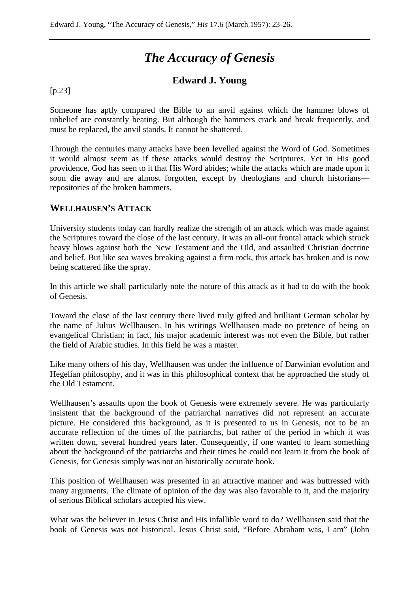# *The Accuracy of Genesis*

## **Edward J. Young**

#### [p.23]

Someone has aptly compared the Bible to an anvil against which the hammer blows of unbelief are constantly beating. But although the hammers crack and break frequently, and must be replaced, the anvil stands. It cannot be shattered.

Through the centuries many attacks have been levelled against the Word of God. Sometimes it would almost seem as if these attacks would destroy the Scriptures. Yet in His good providence, God has seen to it that His Word abides; while the attacks which are made upon it soon die away and are almost forgotten, except by theologians and church historians repositories of the broken hammers.

#### **WELLHAUSEN'S ATTACK**

University students today can hardly realize the strength of an attack which was made against the Scriptures toward the close of the last century. It was an all-out frontal attack which struck heavy blows against both the New Testament and the Old, and assaulted Christian doctrine and belief. But like sea waves breaking against a firm rock, this attack has broken and is now being scattered like the spray.

In this article we shall particularly note the nature of this attack as it had to do with the book of Genesis.

Toward the close of the last century there lived truly gifted and brilliant German scholar by the name of Julius Wellhausen. In his writings Wellhausen made no pretence of being an evangelical Christian; in fact, his major academic interest was not even the Bible, but rather the field of Arabic studies. In this field he was a master.

Like many others of his day, Wellhausen was under the influence of Darwinian evolution and Hegelian philosophy, and it was in this philosophical context that he approached the study of the Old Testament.

Wellhausen's assaults upon the book of Genesis were extremely severe. He was particularly insistent that the background of the patriarchal narratives did not represent an accurate picture. He considered this background, as it is presented to us in Genesis, not to be an accurate reflection of the times of the patriarchs, but rather of the period in which it was written down, several hundred years later. Consequently, if one wanted to learn something about the background of the patriarchs and their times he could not learn it from the book of Genesis, for Genesis simply was not an historically accurate book.

This position of Wellhausen was presented in an attractive manner and was buttressed with many arguments. The climate of opinion of the day was also favorable to it, and the majority of serious Biblical scholars accepted his view.

What was the believer in Jesus Christ and His infallible word to do? Wellhausen said that the book of Genesis was not historical. Jesus Christ said, "Before Abraham was, I am" (John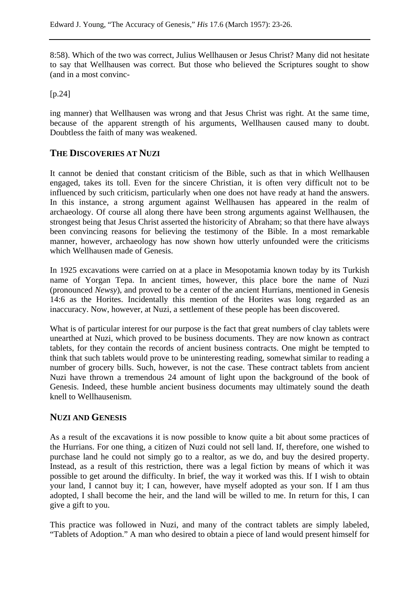8:58). Which of the two was correct, Julius Wellhausen or Jesus Christ? Many did not hesitate to say that Wellhausen was correct. But those who believed the Scriptures sought to show (and in a most convinc-

[p.24]

ing manner) that Wellhausen was wrong and that Jesus Christ was right. At the same time, because of the apparent strength of his arguments, Wellhausen caused many to doubt. Doubtless the faith of many was weakened.

#### **THE DISCOVERIES AT NUZI**

It cannot be denied that constant criticism of the Bible, such as that in which Wellhausen engaged, takes its toll. Even for the sincere Christian, it is often very difficult not to be influenced by such criticism, particularly when one does not have ready at hand the answers. In this instance, a strong argument against Wellhausen has appeared in the realm of archaeology. Of course all along there have been strong arguments against Wellhausen, the strongest being that Jesus Christ asserted the historicity of Abraham; so that there have always been convincing reasons for believing the testimony of the Bible. In a most remarkable manner, however, archaeology has now shown how utterly unfounded were the criticisms which Wellhausen made of Genesis.

In 1925 excavations were carried on at a place in Mesopotamia known today by its Turkish name of Yorgan Tepa. In ancient times, however, this place bore the name of Nuzi (pronounced *Newsy*), and proved to be a center of the ancient Hurrians, mentioned in Genesis 14:6 as the Horites. Incidentally this mention of the Horites was long regarded as an inaccuracy. Now, however, at Nuzi, a settlement of these people has been discovered.

What is of particular interest for our purpose is the fact that great numbers of clay tablets were unearthed at Nuzi, which proved to be business documents. They are now known as contract tablets, for they contain the records of ancient business contracts. One might be tempted to think that such tablets would prove to be uninteresting reading, somewhat similar to reading a number of grocery bills. Such, however, is not the case. These contract tablets from ancient Nuzi have thrown a tremendous 24 amount of light upon the background of the book of Genesis. Indeed, these humble ancient business documents may ultimately sound the death knell to Wellhausenism.

## **NUZI AND GENESIS**

As a result of the excavations it is now possible to know quite a bit about some practices of the Hurrians. For one thing, a citizen of Nuzi could not sell land. If, therefore, one wished to purchase land he could not simply go to a realtor, as we do, and buy the desired property. Instead, as a result of this restriction, there was a legal fiction by means of which it was possible to get around the difficulty. In brief, the way it worked was this. If I wish to obtain your land, I cannot buy it; I can, however, have myself adopted as your son. If I am thus adopted, I shall become the heir, and the land will be willed to me. In return for this, I can give a gift to you.

This practice was followed in Nuzi, and many of the contract tablets are simply labeled, "Tablets of Adoption." A man who desired to obtain a piece of land would present himself for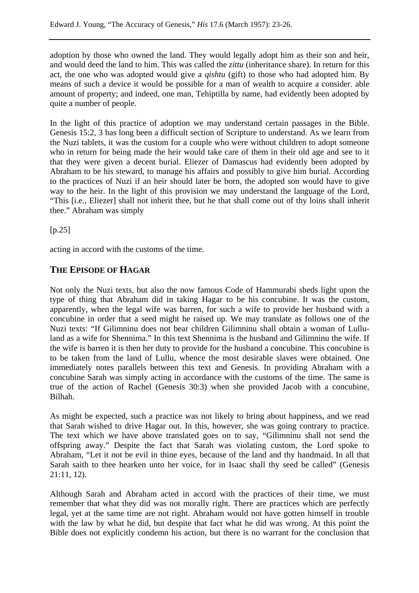adoption by those who owned the land. They would legally adopt him as their son and heir, and would deed the land to him. This was called the *zittu* (inheritance share). In return for this act, the one who was adopted would give a *qishtu* (gift) to those who had adopted him. By means of such a device it would be possible for a man of wealth to acquire a consider. able amount of property; and indeed, one man, Tehiptilla by name, had evidently been adopted by quite a number of people.

In the light of this practice of adoption we may understand certain passages in the Bible. Genesis 15:2, 3 has long been a difficult section of Scripture to understand. As we learn from the Nuzi tablets, it was the custom for a couple who were without children to adopt someone who in return for being made the heir would take care of them in their old age and see to it that they were given a decent burial. Eliezer of Damascus had evidently been adopted by Abraham to be his steward, to manage his affairs and possibly to give him burial. According to the practices of Nuzi if an heir should later be born, the adopted son would have to give way to the heir. In the light of this provision we may understand the language of the Lord, "This [i.e., Eliezer] shall not inherit thee, but he that shall come out of thy loins shall inherit thee." Abraham was simply

[p.25]

acting in accord with the customs of the time.

## **THE EPISODE OF HAGAR**

Not only the Nuzi texts, but also the now famous Code of Hammurabi sheds light upon the type of thing that Abraham did in taking Hagar to be his concubine. It was the custom, apparently, when the legal wife was barren, for such a wife to provide her husband with a concubine in order that a seed might he raised up. We may translate as follows one of the Nuzi texts: "If Gilimninu does not bear children Gilimninu shall obtain a woman of Lulluland as a wife for Shennima." In this text Shennima is the husband and Gilimninu the wife. If the wife is barren it is then her duty to provide for the husband a concubine. This concubine is to be taken from the land of Lullu, whence the most desirable slaves were obtained. One immediately notes parallels between this text and Genesis. In providing Abraham with a concubine Sarah was simply acting in accordance with the customs of the time. The same is true of the action of Rachel (Genesis 30:3) when she provided Jacob with a concubine, Bilhah.

As might be expected, such a practice was not likely to bring about happiness, and we read that Sarah wished to drive Hagar out. In this, however, she was going contrary to practice. The text which we have above translated goes on to say, "Gilimninu shall not send the offspring away." Despite the fact that Sarah was violating custom, the Lord spoke to Abraham, "Let it not be evil in thine eyes, because of the land and thy handmaid. In all that Sarah saith to thee hearken unto her voice, for in Isaac shall thy seed be called" (Genesis 21:11, 12).

Although Sarah and Abraham acted in accord with the practices of their time, we must remember that what they did was not morally right. There are practices which are perfectly legal, yet at the same time are not right. Abraham would not have gotten himself in trouble with the law by what he did, but despite that fact what he did was wrong. At this point the Bible does not explicitly condemn his action, but there is no warrant for the conclusion that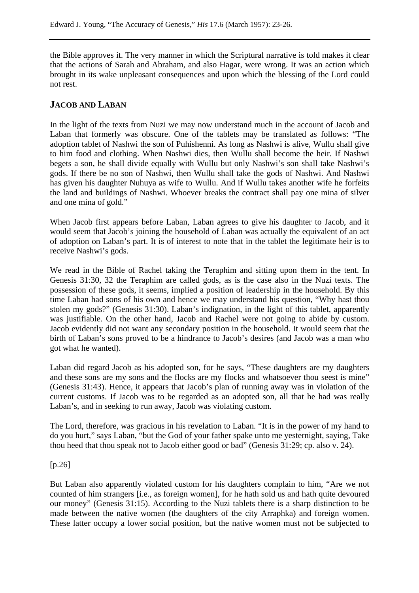the Bible approves it. The very manner in which the Scriptural narrative is told makes it clear that the actions of Sarah and Abraham, and also Hagar, were wrong. It was an action which brought in its wake unpleasant consequences and upon which the blessing of the Lord could not rest.

## **JACOB AND LABAN**

In the light of the texts from Nuzi we may now understand much in the account of Jacob and Laban that formerly was obscure. One of the tablets may be translated as follows: "The adoption tablet of Nashwi the son of Puhishenni. As long as Nashwi is alive, Wullu shall give to him food and clothing. When Nashwi dies, then Wullu shall become the heir. If Nashwi begets a son, he shall divide equally with Wullu but only Nashwi's son shall take Nashwi's gods. If there be no son of Nashwi, then Wullu shall take the gods of Nashwi. And Nashwi has given his daughter Nuhuya as wife to Wullu. And if Wullu takes another wife he forfeits the land and buildings of Nashwi. Whoever breaks the contract shall pay one mina of silver and one mina of gold."

When Jacob first appears before Laban, Laban agrees to give his daughter to Jacob, and it would seem that Jacob's joining the household of Laban was actually the equivalent of an act of adoption on Laban's part. It is of interest to note that in the tablet the legitimate heir is to receive Nashwi's gods.

We read in the Bible of Rachel taking the Teraphim and sitting upon them in the tent. In Genesis 31:30, 32 the Teraphim are called gods, as is the case also in the Nuzi texts. The possession of these gods, it seems, implied a position of leadership in the household. By this time Laban had sons of his own and hence we may understand his question, "Why hast thou stolen my gods?" (Genesis 31:30). Laban's indignation, in the light of this tablet, apparently was justifiable. On the other hand, Jacob and Rachel were not going to abide by custom. Jacob evidently did not want any secondary position in the household. It would seem that the birth of Laban's sons proved to be a hindrance to Jacob's desires (and Jacob was a man who got what he wanted).

Laban did regard Jacob as his adopted son, for he says, "These daughters are my daughters and these sons are my sons and the flocks are my flocks and whatsoever thou seest is mine" (Genesis 31:43). Hence, it appears that Jacob's plan of running away was in violation of the current customs. If Jacob was to be regarded as an adopted son, all that he had was really Laban's, and in seeking to run away, Jacob was violating custom.

The Lord, therefore, was gracious in his revelation to Laban. "It is in the power of my hand to do you hurt," says Laban, "but the God of your father spake unto me yesternight, saying, Take thou heed that thou speak not to Jacob either good or bad" (Genesis 31:29; cp. also v. 24).

#### [p.26]

But Laban also apparently violated custom for his daughters complain to him, "Are we not counted of him strangers [i.e., as foreign women], for he hath sold us and hath quite devoured our money" (Genesis 31:15). According to the Nuzi tablets there is a sharp distinction to be made between the native women (the daughters of the city Arraphka) and foreign women. These latter occupy a lower social position, but the native women must not be subjected to